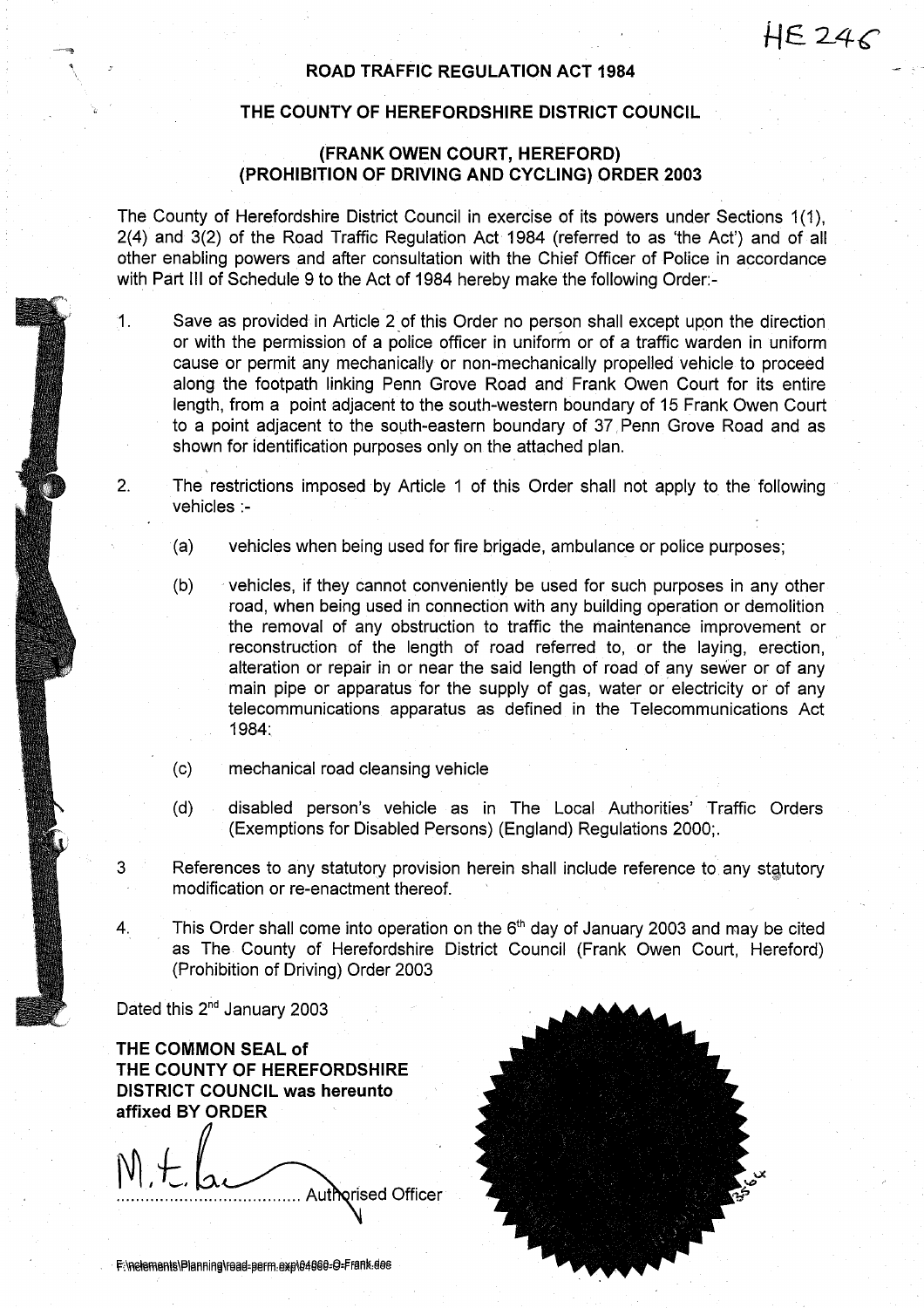## ROAD TRAFFIC REGULATION ACT 1984

## THE COUNTY OF HEREFORDSHIRE DISTRICT COUNCIL

## (FRANK OWEN COURT, HEREFORD) (PROHIBITION OF DRIVING AND CYCLING) ORDER <sup>2003</sup>

The County of Herefordshire District Council in exercise of its powers under Sections 1(1), 2(4) and 3(2) of the Road Traffic Regulation Act 1984 (referred to as `the Act') and of all other enabling powers and after consultation with the Chief Officer of Police in accordance with Part III of Schedule 9 to the Act of 1984 hereby make the following Order:-

- 1. Save as provided in Article 2 of this Order no person shall except upon the direction or with the permission of a police officer in uniform or of a traffic warden in uniform cause or permit any mechanically or non-mechanically propelled vehicle to proceed along the footpath linking Penn Grove Road and Frank Owen Court for its entire length, from a point adjacent to the south-western boundary of 15 Frank Owen Court to a point adjacent to the south-eastern boundary of 37, Penn Grove Road and as shown for identification purposes only on the attached plan.
- 2. The restrictions imposed by Article <sup>1</sup> of this Order shall not apply to the following vehicles :-
	- (a) vehicles when being used for fire brigade, ambulance or police purposes ;
	- (b) vehicles, if they cannot conveniently be used for such purposes in any other road, when being used in connection with any building operation or demolition the removal of any obstruction to traffic the maintenance improvement or reconstruction of the length of road referred to, or the laying, erection, alteration or repair in or near the said length of road of any sewer or of any main pipe or apparatus for the supply of gas, water or electricity or of any telecommunications apparatus as defined in the Telecommunications Act 1984:
	- $(c)$ mechanical road cleansing vehicle
	- (d) disabled person's vehicle as in The Local Authorities' Traffic Orders (Exemptions for Disabled Persons) (England) Regulations 2000; .
- 3 References to any statutory provision herein shall include reference to any statutory modification or re-enactment thereof.
- 4. This Order shall come into operation on the  $6<sup>th</sup>$  day of January 2003 and may be cited as The County of Herefordshire District Council (Frank Owen Court, Hereford) (Prohibition of Driving) Order 2003

Dated this 2<sup>nd</sup> January 2003

THE COMMON SEAL of THE COUNTY OF HEREFORDSHIRE DISTRICT COUNCIL was hereunto affixed BY ORDER

 $\cdot$   $\vdots$ ላut**io**rised Officer



F:\nelements\Planning\read-perm.exp\04060-O-Frank.des